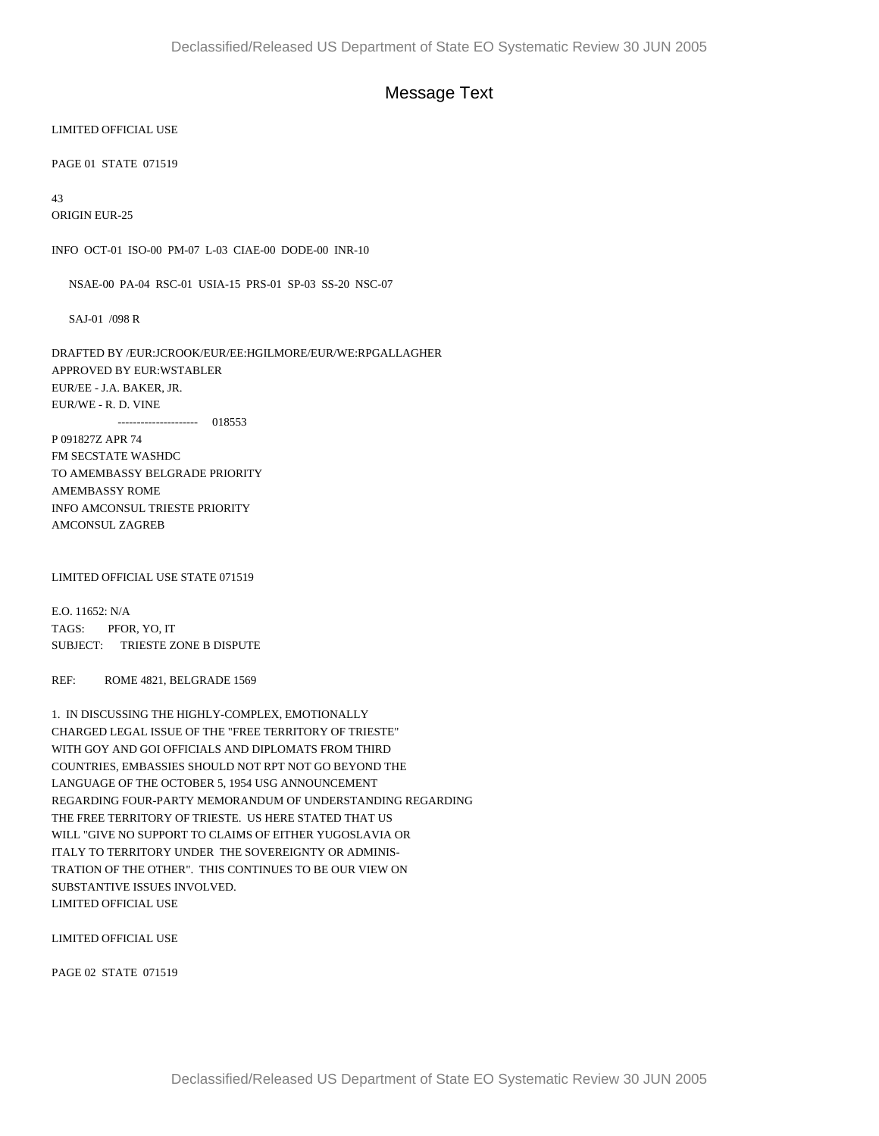## Message Text

## LIMITED OFFICIAL USE

PAGE 01 STATE 071519

43

ORIGIN EUR-25

INFO OCT-01 ISO-00 PM-07 L-03 CIAE-00 DODE-00 INR-10

NSAE-00 PA-04 RSC-01 USIA-15 PRS-01 SP-03 SS-20 NSC-07

SAJ-01 /098 R

DRAFTED BY /EUR:JCROOK/EUR/EE:HGILMORE/EUR/WE:RPGALLAGHER APPROVED BY EUR:WSTABLER EUR/EE - J.A. BAKER, JR. EUR/WE - R. D. VINE --------------------- 018553

P 091827Z APR 74 FM SECSTATE WASHDC TO AMEMBASSY BELGRADE PRIORITY AMEMBASSY ROME INFO AMCONSUL TRIESTE PRIORITY AMCONSUL ZAGREB

LIMITED OFFICIAL USE STATE 071519

E.O. 11652: N/A TAGS: PFOR, YO, IT SUBJECT: TRIESTE ZONE B DISPUTE

REF: ROME 4821, BELGRADE 1569

1. IN DISCUSSING THE HIGHLY-COMPLEX, EMOTIONALLY CHARGED LEGAL ISSUE OF THE "FREE TERRITORY OF TRIESTE" WITH GOY AND GOI OFFICIALS AND DIPLOMATS FROM THIRD COUNTRIES, EMBASSIES SHOULD NOT RPT NOT GO BEYOND THE LANGUAGE OF THE OCTOBER 5, 1954 USG ANNOUNCEMENT REGARDING FOUR-PARTY MEMORANDUM OF UNDERSTANDING REGARDING THE FREE TERRITORY OF TRIESTE. US HERE STATED THAT US WILL "GIVE NO SUPPORT TO CLAIMS OF EITHER YUGOSLAVIA OR ITALY TO TERRITORY UNDER THE SOVEREIGNTY OR ADMINIS-TRATION OF THE OTHER". THIS CONTINUES TO BE OUR VIEW ON SUBSTANTIVE ISSUES INVOLVED. LIMITED OFFICIAL USE

LIMITED OFFICIAL USE

PAGE 02 STATE 071519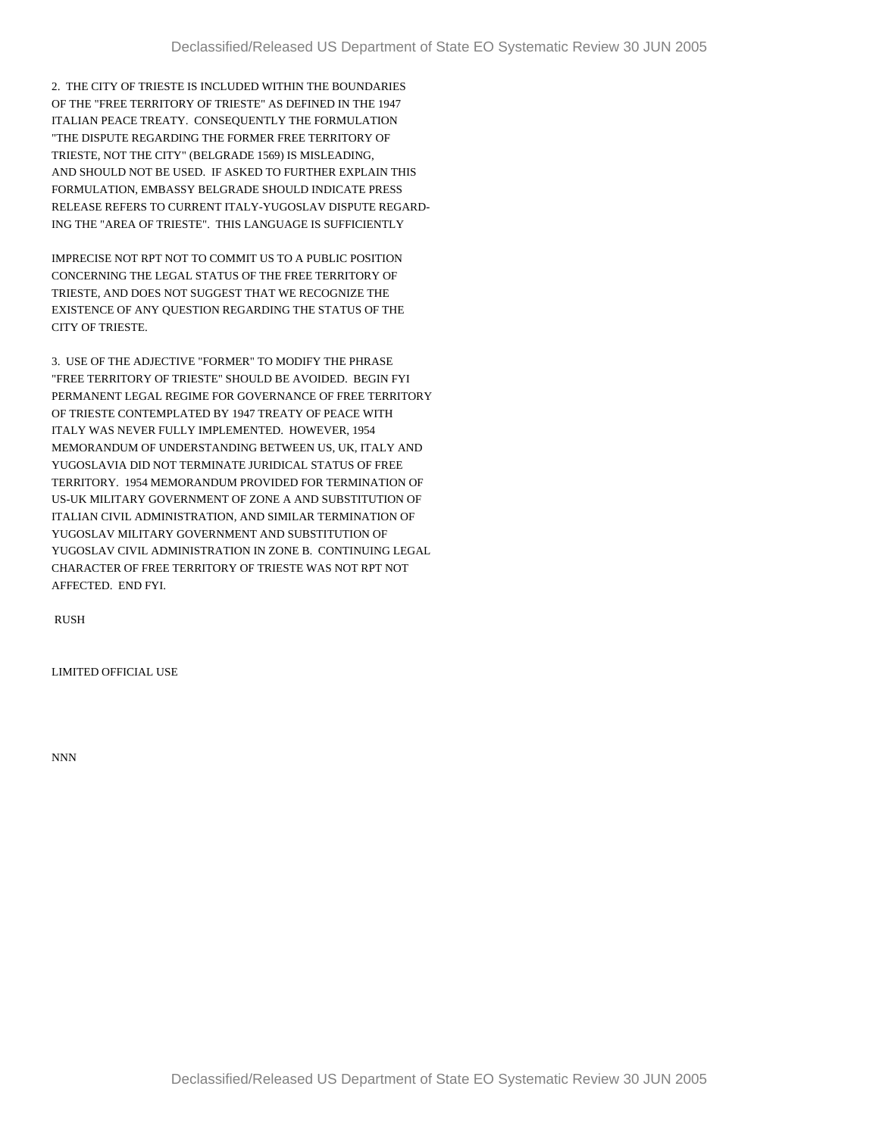2. THE CITY OF TRIESTE IS INCLUDED WITHIN THE BOUNDARIES OF THE "FREE TERRITORY OF TRIESTE" AS DEFINED IN THE 1947 ITALIAN PEACE TREATY. CONSEQUENTLY THE FORMULATION "THE DISPUTE REGARDING THE FORMER FREE TERRITORY OF TRIESTE, NOT THE CITY" (BELGRADE 1569) IS MISLEADING, AND SHOULD NOT BE USED. IF ASKED TO FURTHER EXPLAIN THIS FORMULATION, EMBASSY BELGRADE SHOULD INDICATE PRESS RELEASE REFERS TO CURRENT ITALY-YUGOSLAV DISPUTE REGARD-ING THE "AREA OF TRIESTE". THIS LANGUAGE IS SUFFICIENTLY

IMPRECISE NOT RPT NOT TO COMMIT US TO A PUBLIC POSITION CONCERNING THE LEGAL STATUS OF THE FREE TERRITORY OF TRIESTE, AND DOES NOT SUGGEST THAT WE RECOGNIZE THE EXISTENCE OF ANY QUESTION REGARDING THE STATUS OF THE CITY OF TRIESTE.

3. USE OF THE ADJECTIVE "FORMER" TO MODIFY THE PHRASE "FREE TERRITORY OF TRIESTE" SHOULD BE AVOIDED. BEGIN FYI PERMANENT LEGAL REGIME FOR GOVERNANCE OF FREE TERRITORY OF TRIESTE CONTEMPLATED BY 1947 TREATY OF PEACE WITH ITALY WAS NEVER FULLY IMPLEMENTED. HOWEVER, 1954 MEMORANDUM OF UNDERSTANDING BETWEEN US, UK, ITALY AND YUGOSLAVIA DID NOT TERMINATE JURIDICAL STATUS OF FREE TERRITORY. 1954 MEMORANDUM PROVIDED FOR TERMINATION OF US-UK MILITARY GOVERNMENT OF ZONE A AND SUBSTITUTION OF ITALIAN CIVIL ADMINISTRATION, AND SIMILAR TERMINATION OF YUGOSLAV MILITARY GOVERNMENT AND SUBSTITUTION OF YUGOSLAV CIVIL ADMINISTRATION IN ZONE B. CONTINUING LEGAL CHARACTER OF FREE TERRITORY OF TRIESTE WAS NOT RPT NOT AFFECTED. END FYI.

RUSH

LIMITED OFFICIAL USE

NNN